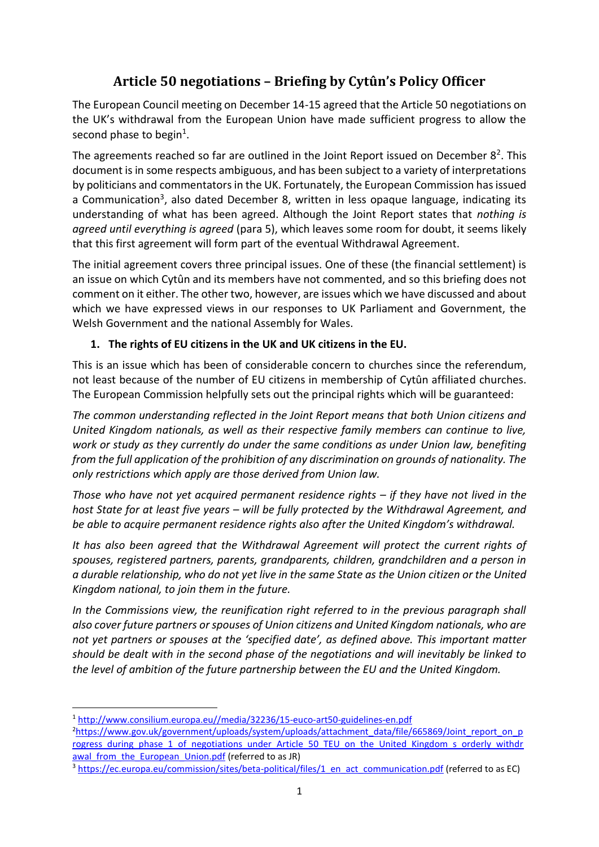## **Article 50 negotiations – Briefing by Cytûn's Policy Officer**

The European Council meeting on December 14-15 agreed that the Article 50 negotiations on the UK's withdrawal from the European Union have made sufficient progress to allow the second phase to begin<sup>1</sup>.

The agreements reached so far are outlined in the Joint Report issued on December  $8<sup>2</sup>$ . This document is in some respects ambiguous, and has been subject to a variety of interpretations by politicians and commentators in the UK. Fortunately, the European Commission has issued a Communication<sup>3</sup>, also dated December 8, written in less opaque language, indicating its understanding of what has been agreed. Although the Joint Report states that *nothing is agreed until everything is agreed* (para 5), which leaves some room for doubt, it seems likely that this first agreement will form part of the eventual Withdrawal Agreement.

The initial agreement covers three principal issues. One of these (the financial settlement) is an issue on which Cytûn and its members have not commented, and so this briefing does not comment on it either. The other two, however, are issues which we have discussed and about which we have expressed views in our responses to UK Parliament and Government, the Welsh Government and the national Assembly for Wales.

## **1. The rights of EU citizens in the UK and UK citizens in the EU.**

This is an issue which has been of considerable concern to churches since the referendum, not least because of the number of EU citizens in membership of Cytûn affiliated churches. The European Commission helpfully sets out the principal rights which will be guaranteed:

*The common understanding reflected in the Joint Report means that both Union citizens and United Kingdom nationals, as well as their respective family members can continue to live, work or study as they currently do under the same conditions as under Union law, benefiting from the full application of the prohibition of any discrimination on grounds of nationality. The only restrictions which apply are those derived from Union law.* 

*Those who have not yet acquired permanent residence rights – if they have not lived in the host State for at least five years – will be fully protected by the Withdrawal Agreement, and be able to acquire permanent residence rights also after the United Kingdom's withdrawal.* 

*It has also been agreed that the Withdrawal Agreement will protect the current rights of spouses, registered partners, parents, grandparents, children, grandchildren and a person in a durable relationship, who do not yet live in the same State as the Union citizen or the United Kingdom national, to join them in the future.* 

*In the Commissions view, the reunification right referred to in the previous paragraph shall also cover future partners or spouses of Union citizens and United Kingdom nationals, who are not yet partners or spouses at the 'specified date', as defined above. This important matter should be dealt with in the second phase of the negotiations and will inevitably be linked to the level of ambition of the future partnership between the EU and the United Kingdom.* 

**<sup>.</sup>** <sup>1</sup> [http://www.consilium.europa.eu//media/32236/15-euco-art50-guidelines-en.pdf](http://www.consilium.europa.eu/media/32236/15-euco-art50-guidelines-en.pdf)

<sup>&</sup>lt;sup>2</sup>[https://www.gov.uk/government/uploads/system/uploads/attachment\\_data/file/665869/Joint\\_report\\_on\\_p](https://www.gov.uk/government/uploads/system/uploads/attachment_data/file/665869/Joint_report_on_progress_during_phase_1_of_negotiations_under_Article_50_TEU_on_the_United_Kingdom_s_orderly_withdrawal_from_the_European_Union.pdf) rogress during phase 1 of negotiations under Article 50 TEU on the United Kingdom s orderly withdr awal from the European Union.pdf (referred to as JR)

<sup>&</sup>lt;sup>3</sup> [https://ec.europa.eu/commission/sites/beta-political/files/1\\_en\\_act\\_communication.pdf](https://ec.europa.eu/commission/sites/beta-political/files/1_en_act_communication.pdf) (referred to as EC)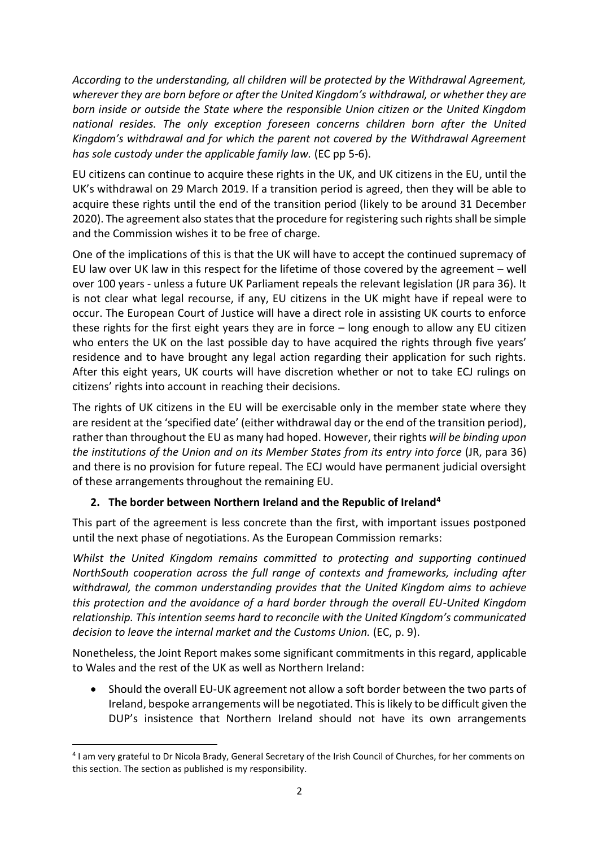*According to the understanding, all children will be protected by the Withdrawal Agreement, wherever they are born before or after the United Kingdom's withdrawal, or whether they are born inside or outside the State where the responsible Union citizen or the United Kingdom national resides. The only exception foreseen concerns children born after the United Kingdom's withdrawal and for which the parent not covered by the Withdrawal Agreement has sole custody under the applicable family law.* (EC pp 5-6).

EU citizens can continue to acquire these rights in the UK, and UK citizens in the EU, until the UK's withdrawal on 29 March 2019. If a transition period is agreed, then they will be able to acquire these rights until the end of the transition period (likely to be around 31 December 2020). The agreement also states that the procedure for registering such rights shall be simple and the Commission wishes it to be free of charge.

One of the implications of this is that the UK will have to accept the continued supremacy of EU law over UK law in this respect for the lifetime of those covered by the agreement – well over 100 years - unless a future UK Parliament repeals the relevant legislation (JR para 36). It is not clear what legal recourse, if any, EU citizens in the UK might have if repeal were to occur. The European Court of Justice will have a direct role in assisting UK courts to enforce these rights for the first eight years they are in force – long enough to allow any EU citizen who enters the UK on the last possible day to have acquired the rights through five years' residence and to have brought any legal action regarding their application for such rights. After this eight years, UK courts will have discretion whether or not to take ECJ rulings on citizens' rights into account in reaching their decisions.

The rights of UK citizens in the EU will be exercisable only in the member state where they are resident at the 'specified date' (either withdrawal day or the end of the transition period), rather than throughout the EU as many had hoped. However, their rights *will be binding upon the institutions of the Union and on its Member States from its entry into force* (JR, para 36) and there is no provision for future repeal. The ECJ would have permanent judicial oversight of these arrangements throughout the remaining EU.

## **2. The border between Northern Ireland and the Republic of Ireland<sup>4</sup>**

This part of the agreement is less concrete than the first, with important issues postponed until the next phase of negotiations. As the European Commission remarks:

*Whilst the United Kingdom remains committed to protecting and supporting continued NorthSouth cooperation across the full range of contexts and frameworks, including after withdrawal, the common understanding provides that the United Kingdom aims to achieve this protection and the avoidance of a hard border through the overall EU-United Kingdom relationship. This intention seems hard to reconcile with the United Kingdom's communicated decision to leave the internal market and the Customs Union.* (EC, p. 9).

Nonetheless, the Joint Report makes some significant commitments in this regard, applicable to Wales and the rest of the UK as well as Northern Ireland:

• Should the overall EU-UK agreement not allow a soft border between the two parts of Ireland, bespoke arrangements will be negotiated. This is likely to be difficult given the DUP's insistence that Northern Ireland should not have its own arrangements

1

<sup>4</sup> I am very grateful to Dr Nicola Brady, General Secretary of the Irish Council of Churches, for her comments on this section. The section as published is my responsibility.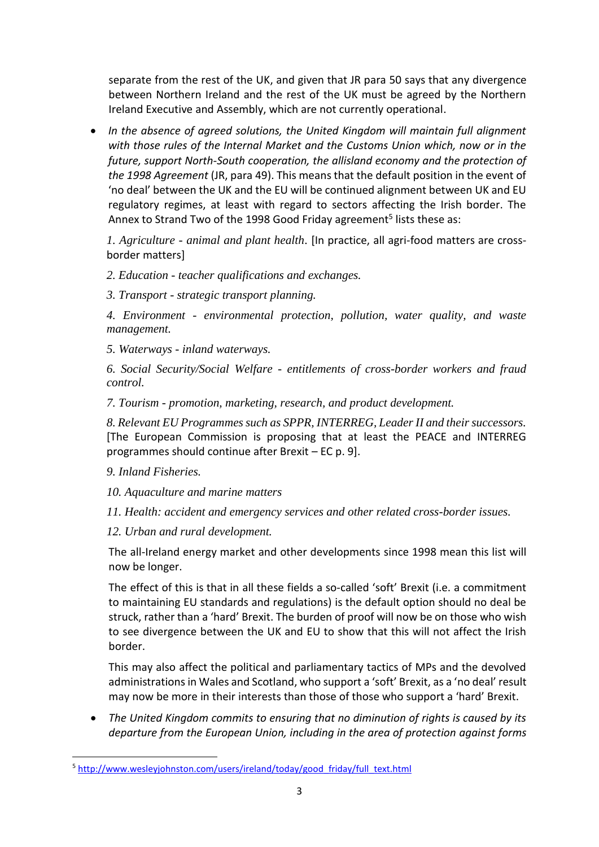separate from the rest of the UK, and given that JR para 50 says that any divergence between Northern Ireland and the rest of the UK must be agreed by the Northern Ireland Executive and Assembly, which are not currently operational.

• *In the absence of agreed solutions, the United Kingdom will maintain full alignment with those rules of the Internal Market and the Customs Union which, now or in the future, support North-South cooperation, the allisland economy and the protection of the 1998 Agreement* (JR, para 49). This means that the default position in the event of 'no deal' between the UK and the EU will be continued alignment between UK and EU regulatory regimes, at least with regard to sectors affecting the Irish border. The Annex to Strand Two of the 1998 Good Friday agreement<sup>5</sup> lists these as:

*1. Agriculture - animal and plant health*. [In practice, all agri-food matters are crossborder matters]

- *2. Education - teacher qualifications and exchanges.*
- *3. Transport - strategic transport planning.*

*4. Environment - environmental protection, pollution, water quality, and waste management.*

*5. Waterways - inland waterways.*

*6. Social Security/Social Welfare - entitlements of cross-border workers and fraud control.*

*7. Tourism - promotion, marketing, research, and product development.*

*8. Relevant EU Programmes such as SPPR, INTERREG, Leader II and their successors.* [The European Commission is proposing that at least the PEACE and INTERREG programmes should continue after Brexit – EC p. 9].

*9. Inland Fisheries.*

**.** 

- *10. Aquaculture and marine matters*
- *11. Health: accident and emergency services and other related cross-border issues.*
- *12. Urban and rural development.*

The all-Ireland energy market and other developments since 1998 mean this list will now be longer.

The effect of this is that in all these fields a so-called 'soft' Brexit (i.e. a commitment to maintaining EU standards and regulations) is the default option should no deal be struck, rather than a 'hard' Brexit. The burden of proof will now be on those who wish to see divergence between the UK and EU to show that this will not affect the Irish border.

This may also affect the political and parliamentary tactics of MPs and the devolved administrations in Wales and Scotland, who support a 'soft' Brexit, as a 'no deal' result may now be more in their interests than those of those who support a 'hard' Brexit.

• *The United Kingdom commits to ensuring that no diminution of rights is caused by its departure from the European Union, including in the area of protection against forms* 

<sup>&</sup>lt;sup>5</sup> http://www.wesleyjohnston.com/users/ireland/today/good friday/full\_text.html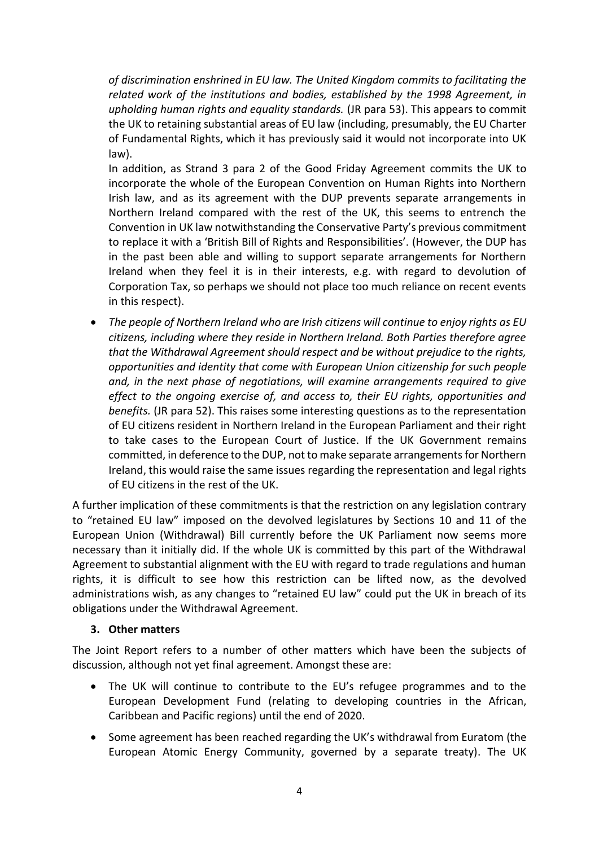*of discrimination enshrined in EU law. The United Kingdom commits to facilitating the related work of the institutions and bodies, established by the 1998 Agreement, in upholding human rights and equality standards.* (JR para 53). This appears to commit the UK to retaining substantial areas of EU law (including, presumably, the EU Charter of Fundamental Rights, which it has previously said it would not incorporate into UK law).

In addition, as Strand 3 para 2 of the Good Friday Agreement commits the UK to incorporate the whole of the European Convention on Human Rights into Northern Irish law, and as its agreement with the DUP prevents separate arrangements in Northern Ireland compared with the rest of the UK, this seems to entrench the Convention in UK law notwithstanding the Conservative Party's previous commitment to replace it with a 'British Bill of Rights and Responsibilities'. (However, the DUP has in the past been able and willing to support separate arrangements for Northern Ireland when they feel it is in their interests, e.g. with regard to devolution of Corporation Tax, so perhaps we should not place too much reliance on recent events in this respect).

• The people of Northern Ireland who are Irish citizens will continue to enjoy rights as EU *citizens, including where they reside in Northern Ireland. Both Parties therefore agree that the Withdrawal Agreement should respect and be without prejudice to the rights, opportunities and identity that come with European Union citizenship for such people and, in the next phase of negotiations, will examine arrangements required to give effect to the ongoing exercise of, and access to, their EU rights, opportunities and benefits.* (JR para 52). This raises some interesting questions as to the representation of EU citizens resident in Northern Ireland in the European Parliament and their right to take cases to the European Court of Justice. If the UK Government remains committed, in deference to the DUP, not to make separate arrangements for Northern Ireland, this would raise the same issues regarding the representation and legal rights of EU citizens in the rest of the UK.

A further implication of these commitments is that the restriction on any legislation contrary to "retained EU law" imposed on the devolved legislatures by Sections 10 and 11 of the European Union (Withdrawal) Bill currently before the UK Parliament now seems more necessary than it initially did. If the whole UK is committed by this part of the Withdrawal Agreement to substantial alignment with the EU with regard to trade regulations and human rights, it is difficult to see how this restriction can be lifted now, as the devolved administrations wish, as any changes to "retained EU law" could put the UK in breach of its obligations under the Withdrawal Agreement.

## **3. Other matters**

The Joint Report refers to a number of other matters which have been the subjects of discussion, although not yet final agreement. Amongst these are:

- The UK will continue to contribute to the EU's refugee programmes and to the European Development Fund (relating to developing countries in the African, Caribbean and Pacific regions) until the end of 2020.
- Some agreement has been reached regarding the UK's withdrawal from Euratom (the European Atomic Energy Community, governed by a separate treaty). The UK